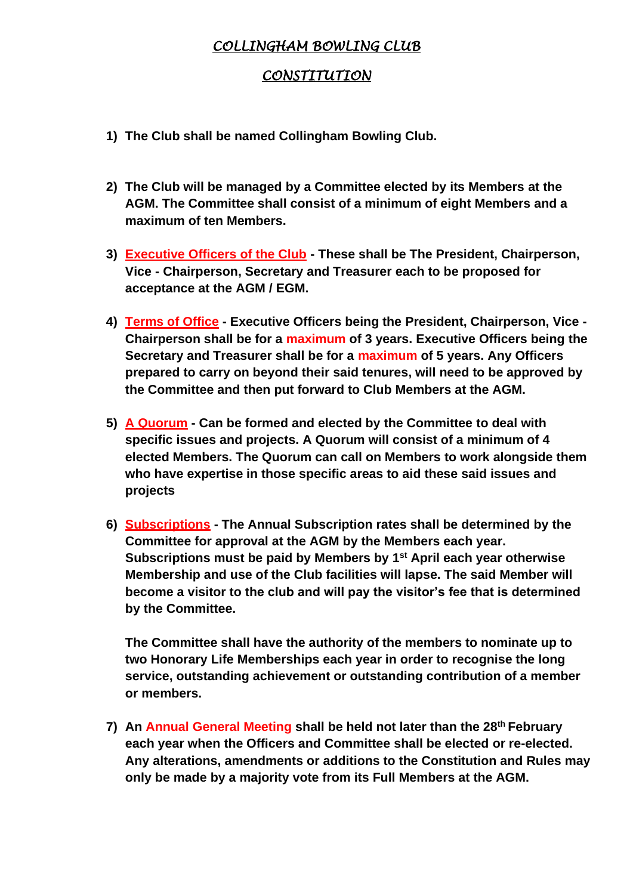## *COLLINGHAM BOWLING CLUB*

## *CONSTITUTION*

- **1) The Club shall be named Collingham Bowling Club.**
- **2) The Club will be managed by a Committee elected by its Members at the AGM. The Committee shall consist of a minimum of eight Members and a maximum of ten Members.**
- **3) Executive Officers of the Club - These shall be The President, Chairperson, Vice - Chairperson, Secretary and Treasurer each to be proposed for acceptance at the AGM / EGM.**
- **4) Terms of Office - Executive Officers being the President, Chairperson, Vice - Chairperson shall be for a maximum of 3 years. Executive Officers being the Secretary and Treasurer shall be for a maximum of 5 years. Any Officers prepared to carry on beyond their said tenures, will need to be approved by the Committee and then put forward to Club Members at the AGM.**
- **5) A Quorum - Can be formed and elected by the Committee to deal with specific issues and projects. A Quorum will consist of a minimum of 4 elected Members. The Quorum can call on Members to work alongside them who have expertise in those specific areas to aid these said issues and projects**
- **6) Subscriptions - The Annual Subscription rates shall be determined by the Committee for approval at the AGM by the Members each year. Subscriptions must be paid by Members by 1st April each year otherwise Membership and use of the Club facilities will lapse. The said Member will become a visitor to the club and will pay the visitor's fee that is determined by the Committee.**

**The Committee shall have the authority of the members to nominate up to two Honorary Life Memberships each year in order to recognise the long service, outstanding achievement or outstanding contribution of a member or members.**

**7) An Annual General Meeting shall be held not later than the 28th February each year when the Officers and Committee shall be elected or re-elected. Any alterations, amendments or additions to the Constitution and Rules may only be made by a majority vote from its Full Members at the AGM.**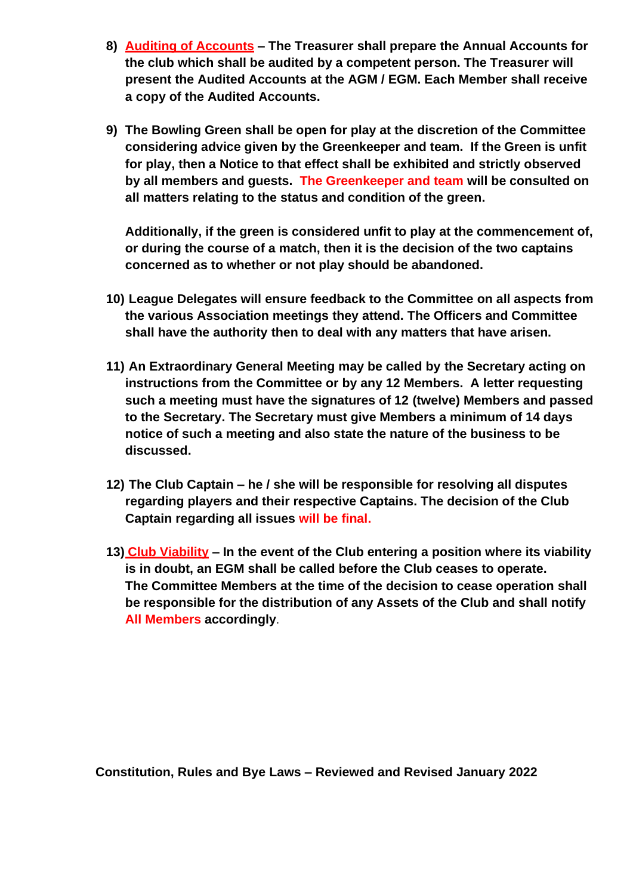- **8) Auditing of Accounts – The Treasurer shall prepare the Annual Accounts for the club which shall be audited by a competent person. The Treasurer will present the Audited Accounts at the AGM / EGM. Each Member shall receive a copy of the Audited Accounts.**
- **9) The Bowling Green shall be open for play at the discretion of the Committee considering advice given by the Greenkeeper and team. If the Green is unfit for play, then a Notice to that effect shall be exhibited and strictly observed by all members and guests. The Greenkeeper and team will be consulted on all matters relating to the status and condition of the green.**

**Additionally, if the green is considered unfit to play at the commencement of, or during the course of a match, then it is the decision of the two captains concerned as to whether or not play should be abandoned.**

- **10) League Delegates will ensure feedback to the Committee on all aspects from the various Association meetings they attend. The Officers and Committee shall have the authority then to deal with any matters that have arisen.**
- **11) An Extraordinary General Meeting may be called by the Secretary acting on instructions from the Committee or by any 12 Members. A letter requesting such a meeting must have the signatures of 12 (twelve) Members and passed to the Secretary. The Secretary must give Members a minimum of 14 days notice of such a meeting and also state the nature of the business to be discussed.**
- **12) The Club Captain – he / she will be responsible for resolving all disputes regarding players and their respective Captains. The decision of the Club Captain regarding all issues will be final.**
- **13) Club Viability – In the event of the Club entering a position where its viability is in doubt, an EGM shall be called before the Club ceases to operate. The Committee Members at the time of the decision to cease operation shall be responsible for the distribution of any Assets of the Club and shall notify All Members accordingly**.